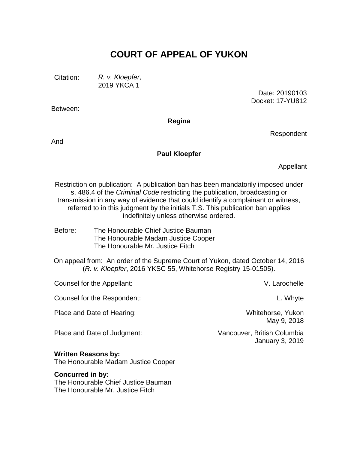# **COURT OF APPEAL OF YUKON**

Citation: *R. v. Kloepfer*, 2019 YKCA 1

Between:

Date: 20190103 Docket: 17-YU812

**Regina**

And

#### **Paul Kloepfer**

Appellant

Respondent

Restriction on publication: A publication ban has been mandatorily imposed under s. 486.4 of the *Criminal Code* restricting the publication, broadcasting or transmission in any way of evidence that could identify a complainant or witness, referred to in this judgment by the initials T.S. This publication ban applies indefinitely unless otherwise ordered.

Before: The Honourable Chief Justice Bauman The Honourable Madam Justice Cooper The Honourable Mr. Justice Fitch

On appeal from: An order of the Supreme Court of Yukon, dated October 14, 2016 (*R. v. Kloepfer*, 2016 YKSC 55, Whitehorse Registry 15-01505).

| Counsel for the Appellant:                                        | V. Larochelle                                         |
|-------------------------------------------------------------------|-------------------------------------------------------|
| Counsel for the Respondent:                                       | L. Whyte                                              |
| Place and Date of Hearing:                                        | Whitehorse, Yukon<br>May 9, 2018                      |
| Place and Date of Judgment:                                       | Vancouver, British Columbia<br><b>January 3, 2019</b> |
| <b>Written Reasons by:</b><br>The Honourable Madam Justice Cooper |                                                       |

**Concurred in by:** The Honourable Chief Justice Bauman The Honourable Mr. Justice Fitch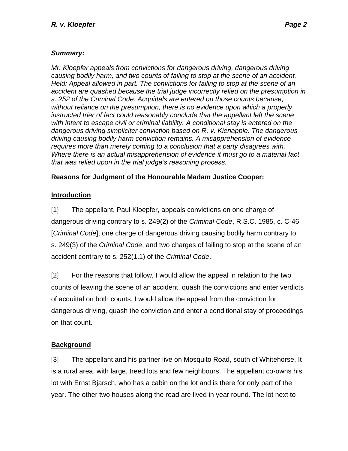# *Summary:*

*Mr. Kloepfer appeals from convictions for dangerous driving, dangerous driving causing bodily harm, and two counts of failing to stop at the scene of an accident. Held: Appeal allowed in part. The convictions for failing to stop at the scene of an accident are quashed because the trial judge incorrectly relied on the presumption in s. 252 of the Criminal Code. Acquittals are entered on those counts because, without reliance on the presumption, there is no evidence upon which a properly instructed trier of fact could reasonably conclude that the appellant left the scene with intent to escape civil or criminal liability. A conditional stay is entered on the dangerous driving simpliciter conviction based on R. v. Kienapple. The dangerous driving causing bodily harm conviction remains. A misapprehension of evidence requires more than merely coming to a conclusion that a party disagrees with. Where there is an actual misapprehension of evidence it must go to a material fact that was relied upon in the trial judge's reasoning process.*

# **Reasons for Judgment of the Honourable Madam Justice Cooper:**

# **Introduction**

[1] The appellant, Paul Kloepfer, appeals convictions on one charge of dangerous driving contrary to s. 249(2) of the *Criminal Code*, R.S.C. 1985, c. C-46 [*Criminal Code*], one charge of dangerous driving causing bodily harm contrary to s. 249(3) of the *Criminal Code*, and two charges of failing to stop at the scene of an accident contrary to s. 252(1.1) of the *Criminal Code*.

[2] For the reasons that follow, I would allow the appeal in relation to the two counts of leaving the scene of an accident, quash the convictions and enter verdicts of acquittal on both counts. I would allow the appeal from the conviction for dangerous driving, quash the conviction and enter a conditional stay of proceedings on that count.

# **Background**

[3] The appellant and his partner live on Mosquito Road, south of Whitehorse. It is a rural area, with large, treed lots and few neighbours. The appellant co-owns his lot with Ernst Bjarsch, who has a cabin on the lot and is there for only part of the year. The other two houses along the road are lived in year round. The lot next to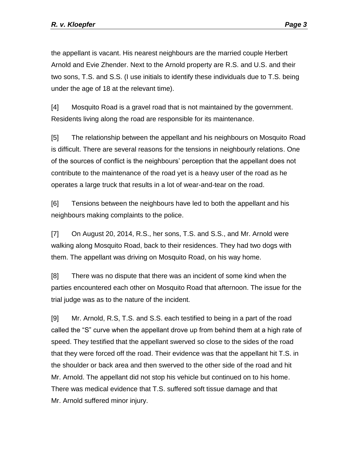the appellant is vacant. His nearest neighbours are the married couple Herbert Arnold and Evie Zhender. Next to the Arnold property are R.S. and U.S. and their two sons, T.S. and S.S. (I use initials to identify these individuals due to T.S. being under the age of 18 at the relevant time).

[4] Mosquito Road is a gravel road that is not maintained by the government. Residents living along the road are responsible for its maintenance.

[5] The relationship between the appellant and his neighbours on Mosquito Road is difficult. There are several reasons for the tensions in neighbourly relations. One of the sources of conflict is the neighbours' perception that the appellant does not contribute to the maintenance of the road yet is a heavy user of the road as he operates a large truck that results in a lot of wear-and-tear on the road.

[6] Tensions between the neighbours have led to both the appellant and his neighbours making complaints to the police.

[7] On August 20, 2014, R.S., her sons, T.S. and S.S., and Mr. Arnold were walking along Mosquito Road, back to their residences. They had two dogs with them. The appellant was driving on Mosquito Road, on his way home.

[8] There was no dispute that there was an incident of some kind when the parties encountered each other on Mosquito Road that afternoon. The issue for the trial judge was as to the nature of the incident.

[9] Mr. Arnold, R.S, T.S. and S.S. each testified to being in a part of the road called the "S" curve when the appellant drove up from behind them at a high rate of speed. They testified that the appellant swerved so close to the sides of the road that they were forced off the road. Their evidence was that the appellant hit T.S. in the shoulder or back area and then swerved to the other side of the road and hit Mr. Arnold. The appellant did not stop his vehicle but continued on to his home. There was medical evidence that T.S. suffered soft tissue damage and that Mr. Arnold suffered minor injury.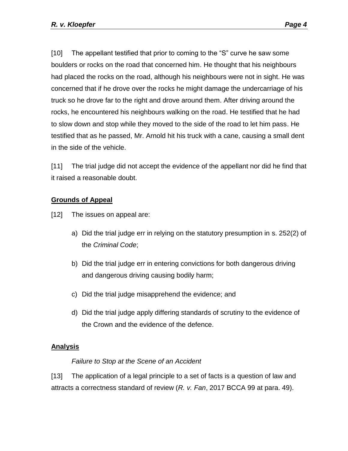[10] The appellant testified that prior to coming to the "S" curve he saw some boulders or rocks on the road that concerned him. He thought that his neighbours had placed the rocks on the road, although his neighbours were not in sight. He was concerned that if he drove over the rocks he might damage the undercarriage of his truck so he drove far to the right and drove around them. After driving around the rocks, he encountered his neighbours walking on the road. He testified that he had to slow down and stop while they moved to the side of the road to let him pass. He testified that as he passed, Mr. Arnold hit his truck with a cane, causing a small dent in the side of the vehicle.

[11] The trial judge did not accept the evidence of the appellant nor did he find that it raised a reasonable doubt.

# **Grounds of Appeal**

[12] The issues on appeal are:

- a) Did the trial judge err in relying on the statutory presumption in s. 252(2) of the *Criminal Code*;
- b) Did the trial judge err in entering convictions for both dangerous driving and dangerous driving causing bodily harm;
- c) Did the trial judge misapprehend the evidence; and
- d) Did the trial judge apply differing standards of scrutiny to the evidence of the Crown and the evidence of the defence.

#### **Analysis**

#### *Failure to Stop at the Scene of an Accident*

[13] The application of a legal principle to a set of facts is a question of law and attracts a correctness standard of review (*R. v. Fan*, 2017 BCCA 99 at para. 49).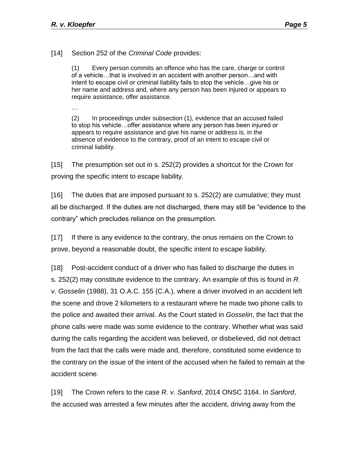[14] Section 252 of the *Criminal Code* provides:

(1) Every person commits an offence who has the care, charge or control of a vehicle…that is involved in an accident with another person…and with intent to escape civil or criminal liability fails to stop the vehicle…give his or her name and address and, where any person has been injured or appears to require assistance, offer assistance.

…

(2) In proceedings under subsection (1), evidence that an accused failed to stop his vehicle…offer assistance where any person has been injured or appears to require assistance and give his name or address is, in the absence of evidence to the contrary, proof of an intent to escape civil or criminal liability.

[15] The presumption set out in s. 252(2) provides a shortcut for the Crown for proving the specific intent to escape liability.

[16] The duties that are imposed pursuant to s. 252(2) are cumulative; they must all be discharged. If the duties are not discharged, there may still be "evidence to the contrary" which precludes reliance on the presumption.

[17] If there is any evidence to the contrary, the onus remains on the Crown to prove, beyond a reasonable doubt, the specific intent to escape liability.

[18] Post-accident conduct of a driver who has failed to discharge the duties in s. 252(2) may constitute evidence to the contrary. An example of this is found in *R. v. Gosselin* (1988), 31 O.A.C. 155 (C.A.), where a driver involved in an accident left the scene and drove 2 kilometers to a restaurant where he made two phone calls to the police and awaited their arrival. As the Court stated in *Gosselin*, the fact that the phone calls were made was some evidence to the contrary. Whether what was said during the calls regarding the accident was believed, or disbelieved, did not detract from the fact that the calls were made and, therefore, constituted some evidence to the contrary on the issue of the intent of the accused when he failed to remain at the accident scene.

[19] The Crown refers to the case *R. v. Sanford*, 2014 ONSC 3164. In *Sanford*, the accused was arrested a few minutes after the accident, driving away from the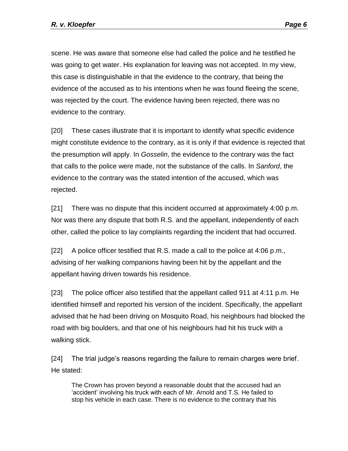scene. He was aware that someone else had called the police and he testified he was going to get water. His explanation for leaving was not accepted. In my view, this case is distinguishable in that the evidence to the contrary, that being the evidence of the accused as to his intentions when he was found fleeing the scene, was rejected by the court. The evidence having been rejected, there was no evidence to the contrary.

[20] These cases illustrate that it is important to identify what specific evidence might constitute evidence to the contrary, as it is only if that evidence is rejected that the presumption will apply. In *Gosselin*, the evidence to the contrary was the fact that calls to the police were made, not the substance of the calls. In *Sanford*, the evidence to the contrary was the stated intention of the accused, which was rejected.

[21] There was no dispute that this incident occurred at approximately 4:00 p.m. Nor was there any dispute that both R.S. and the appellant, independently of each other, called the police to lay complaints regarding the incident that had occurred.

[22] A police officer testified that R.S. made a call to the police at 4:06 p.m., advising of her walking companions having been hit by the appellant and the appellant having driven towards his residence.

[23] The police officer also testified that the appellant called 911 at 4:11 p.m. He identified himself and reported his version of the incident. Specifically, the appellant advised that he had been driving on Mosquito Road, his neighbours had blocked the road with big boulders, and that one of his neighbours had hit his truck with a walking stick.

[24] The trial judge's reasons regarding the failure to remain charges were brief. He stated:

The Crown has proven beyond a reasonable doubt that the accused had an 'accident' involving his truck with each of Mr. Arnold and T.S. He failed to stop his vehicle in each case. There is no evidence to the contrary that his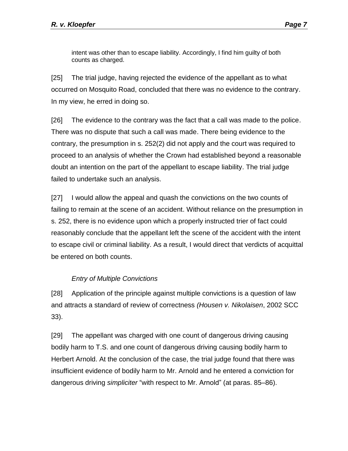intent was other than to escape liability. Accordingly, I find him guilty of both counts as charged.

[25] The trial judge, having rejected the evidence of the appellant as to what occurred on Mosquito Road, concluded that there was no evidence to the contrary. In my view, he erred in doing so.

[26] The evidence to the contrary was the fact that a call was made to the police. There was no dispute that such a call was made. There being evidence to the contrary, the presumption in s. 252(2) did not apply and the court was required to proceed to an analysis of whether the Crown had established beyond a reasonable doubt an intention on the part of the appellant to escape liability. The trial judge failed to undertake such an analysis.

[27] I would allow the appeal and quash the convictions on the two counts of failing to remain at the scene of an accident. Without reliance on the presumption in s. 252, there is no evidence upon which a properly instructed trier of fact could reasonably conclude that the appellant left the scene of the accident with the intent to escape civil or criminal liability. As a result, I would direct that verdicts of acquittal be entered on both counts.

# *Entry of Multiple Convictions*

[28] Application of the principle against multiple convictions is a question of law and attracts a standard of review of correctness *(Housen v. Nikolaisen*, 2002 SCC 33).

[29] The appellant was charged with one count of dangerous driving causing bodily harm to T.S. and one count of dangerous driving causing bodily harm to Herbert Arnold. At the conclusion of the case, the trial judge found that there was insufficient evidence of bodily harm to Mr. Arnold and he entered a conviction for dangerous driving *simpliciter* "with respect to Mr. Arnold" (at paras. 85–86).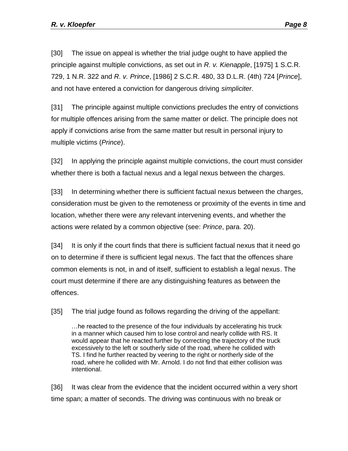[30] The issue on appeal is whether the trial judge ought to have applied the principle against multiple convictions, as set out in *R. v. Kienapple*, [1975] 1 S.C.R. 729, 1 N.R. 322 and *R. v. Prince*, [1986] 2 S.C.R. 480, 33 D.L.R. (4th) 724 [*Prince*], and not have entered a conviction for dangerous driving *simpliciter*.

[31] The principle against multiple convictions precludes the entry of convictions for multiple offences arising from the same matter or delict. The principle does not apply if convictions arise from the same matter but result in personal injury to multiple victims (*Prince*).

[32] In applying the principle against multiple convictions, the court must consider whether there is both a factual nexus and a legal nexus between the charges.

[33] In determining whether there is sufficient factual nexus between the charges, consideration must be given to the remoteness or proximity of the events in time and location, whether there were any relevant intervening events, and whether the actions were related by a common objective (see: *Prince*, para. 20).

[34] It is only if the court finds that there is sufficient factual nexus that it need go on to determine if there is sufficient legal nexus. The fact that the offences share common elements is not, in and of itself, sufficient to establish a legal nexus. The court must determine if there are any distinguishing features as between the offences.

[35] The trial judge found as follows regarding the driving of the appellant:

…he reacted to the presence of the four individuals by accelerating his truck in a manner which caused him to lose control and nearly collide with RS. It would appear that he reacted further by correcting the trajectory of the truck excessively to the left or southerly side of the road, where he collided with TS. I find he further reacted by veering to the right or northerly side of the road, where he collided with Mr. Arnold. I do not find that either collision was intentional.

[36] It was clear from the evidence that the incident occurred within a very short time span; a matter of seconds. The driving was continuous with no break or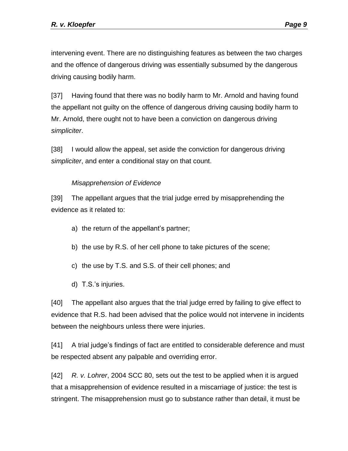intervening event. There are no distinguishing features as between the two charges and the offence of dangerous driving was essentially subsumed by the dangerous driving causing bodily harm.

[37] Having found that there was no bodily harm to Mr. Arnold and having found the appellant not guilty on the offence of dangerous driving causing bodily harm to Mr. Arnold, there ought not to have been a conviction on dangerous driving *simpliciter*.

[38] I would allow the appeal, set aside the conviction for dangerous driving *simpliciter*, and enter a conditional stay on that count.

# *Misapprehension of Evidence*

[39] The appellant argues that the trial judge erred by misapprehending the evidence as it related to:

- a) the return of the appellant's partner;
- b) the use by R.S. of her cell phone to take pictures of the scene;
- c) the use by T.S. and S.S. of their cell phones; and
- d) T.S.'s injuries.

[40] The appellant also argues that the trial judge erred by failing to give effect to evidence that R.S. had been advised that the police would not intervene in incidents between the neighbours unless there were injuries.

[41] A trial judge's findings of fact are entitled to considerable deference and must be respected absent any palpable and overriding error.

[42] *R. v. Lohrer*, 2004 SCC 80, sets out the test to be applied when it is argued that a misapprehension of evidence resulted in a miscarriage of justice: the test is stringent. The misapprehension must go to substance rather than detail, it must be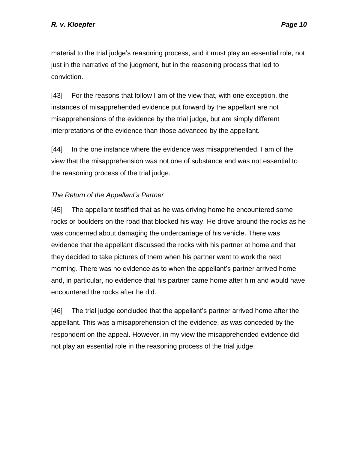material to the trial judge's reasoning process, and it must play an essential role, not just in the narrative of the judgment, but in the reasoning process that led to conviction.

[43] For the reasons that follow I am of the view that, with one exception, the instances of misapprehended evidence put forward by the appellant are not misapprehensions of the evidence by the trial judge, but are simply different interpretations of the evidence than those advanced by the appellant.

[44] In the one instance where the evidence was misapprehended, I am of the view that the misapprehension was not one of substance and was not essential to the reasoning process of the trial judge.

#### *The Return of the Appellant's Partner*

[45] The appellant testified that as he was driving home he encountered some rocks or boulders on the road that blocked his way. He drove around the rocks as he was concerned about damaging the undercarriage of his vehicle. There was evidence that the appellant discussed the rocks with his partner at home and that they decided to take pictures of them when his partner went to work the next morning. There was no evidence as to when the appellant's partner arrived home and, in particular, no evidence that his partner came home after him and would have encountered the rocks after he did.

[46] The trial judge concluded that the appellant's partner arrived home after the appellant. This was a misapprehension of the evidence, as was conceded by the respondent on the appeal. However, in my view the misapprehended evidence did not play an essential role in the reasoning process of the trial judge.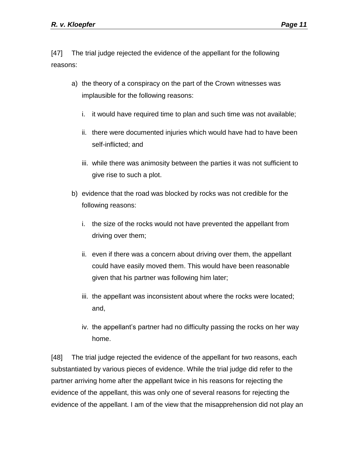[47] The trial judge rejected the evidence of the appellant for the following reasons:

- a) the theory of a conspiracy on the part of the Crown witnesses was implausible for the following reasons:
	- i. it would have required time to plan and such time was not available;
	- ii. there were documented injuries which would have had to have been self-inflicted; and
	- iii. while there was animosity between the parties it was not sufficient to give rise to such a plot.
- b) evidence that the road was blocked by rocks was not credible for the following reasons:
	- i. the size of the rocks would not have prevented the appellant from driving over them;
	- ii. even if there was a concern about driving over them, the appellant could have easily moved them. This would have been reasonable given that his partner was following him later;
	- iii. the appellant was inconsistent about where the rocks were located; and,
	- iv. the appellant's partner had no difficulty passing the rocks on her way home.

[48] The trial judge rejected the evidence of the appellant for two reasons, each substantiated by various pieces of evidence. While the trial judge did refer to the partner arriving home after the appellant twice in his reasons for rejecting the evidence of the appellant, this was only one of several reasons for rejecting the evidence of the appellant. I am of the view that the misapprehension did not play an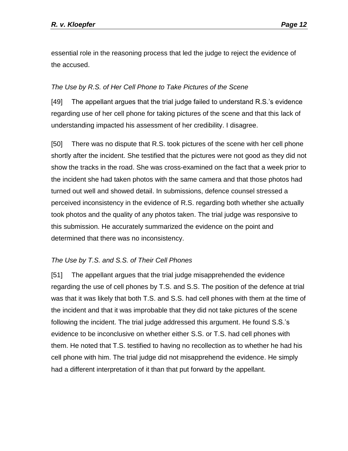essential role in the reasoning process that led the judge to reject the evidence of the accused.

#### *The Use by R.S. of Her Cell Phone to Take Pictures of the Scene*

[49] The appellant argues that the trial judge failed to understand R.S.'s evidence regarding use of her cell phone for taking pictures of the scene and that this lack of understanding impacted his assessment of her credibility. I disagree.

[50] There was no dispute that R.S. took pictures of the scene with her cell phone shortly after the incident. She testified that the pictures were not good as they did not show the tracks in the road. She was cross-examined on the fact that a week prior to the incident she had taken photos with the same camera and that those photos had turned out well and showed detail. In submissions, defence counsel stressed a perceived inconsistency in the evidence of R.S. regarding both whether she actually took photos and the quality of any photos taken. The trial judge was responsive to this submission. He accurately summarized the evidence on the point and determined that there was no inconsistency.

# *The Use by T.S. and S.S. of Their Cell Phones*

[51] The appellant argues that the trial judge misapprehended the evidence regarding the use of cell phones by T.S. and S.S. The position of the defence at trial was that it was likely that both T.S. and S.S. had cell phones with them at the time of the incident and that it was improbable that they did not take pictures of the scene following the incident. The trial judge addressed this argument. He found S.S.'s evidence to be inconclusive on whether either S.S. or T.S. had cell phones with them. He noted that T.S. testified to having no recollection as to whether he had his cell phone with him. The trial judge did not misapprehend the evidence. He simply had a different interpretation of it than that put forward by the appellant.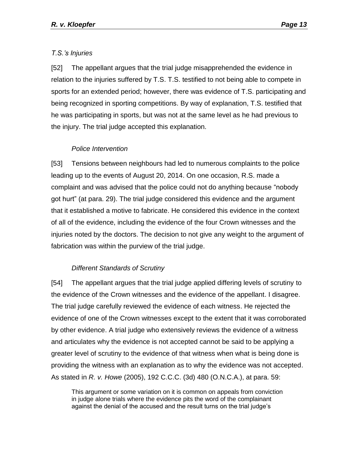# *T.S.'s Injuries*

[52] The appellant argues that the trial judge misapprehended the evidence in relation to the injuries suffered by T.S. T.S. testified to not being able to compete in sports for an extended period; however, there was evidence of T.S. participating and being recognized in sporting competitions. By way of explanation, T.S. testified that he was participating in sports, but was not at the same level as he had previous to the injury. The trial judge accepted this explanation.

# *Police Intervention*

[53] Tensions between neighbours had led to numerous complaints to the police leading up to the events of August 20, 2014. On one occasion, R.S. made a complaint and was advised that the police could not do anything because "nobody got hurt" (at para. 29). The trial judge considered this evidence and the argument that it established a motive to fabricate. He considered this evidence in the context of all of the evidence, including the evidence of the four Crown witnesses and the injuries noted by the doctors. The decision to not give any weight to the argument of fabrication was within the purview of the trial judge.

#### *Different Standards of Scrutiny*

[54] The appellant argues that the trial judge applied differing levels of scrutiny to the evidence of the Crown witnesses and the evidence of the appellant. I disagree. The trial judge carefully reviewed the evidence of each witness. He rejected the evidence of one of the Crown witnesses except to the extent that it was corroborated by other evidence. A trial judge who extensively reviews the evidence of a witness and articulates why the evidence is not accepted cannot be said to be applying a greater level of scrutiny to the evidence of that witness when what is being done is providing the witness with an explanation as to why the evidence was not accepted. As stated in *R. v. Howe* (2005), 192 C.C.C. (3d) 480 (O.N.C.A.), at para. 59:

This argument or some variation on it is common on appeals from conviction in judge alone trials where the evidence pits the word of the complainant against the denial of the accused and the result turns on the trial judge's